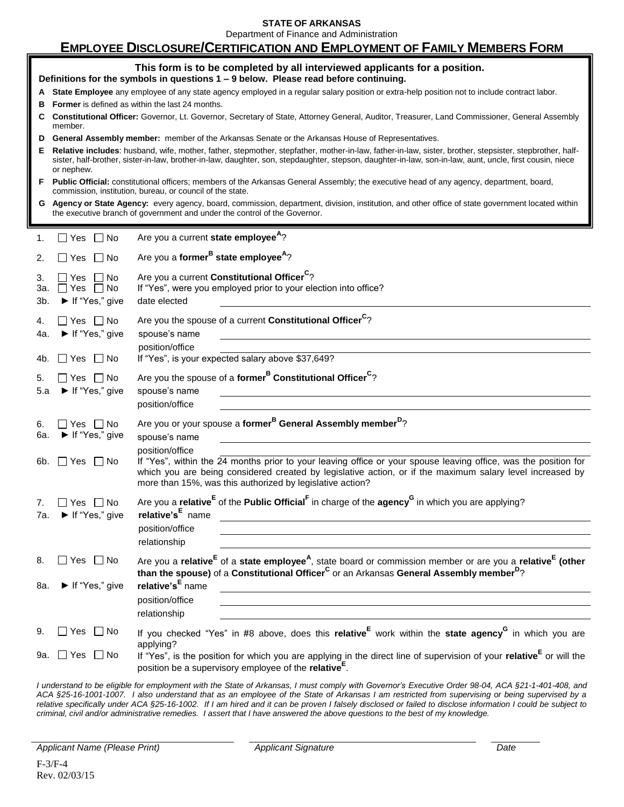**STATE OF ARKANSAS**

Department of Finance and Administration

# **EMPLOYEE DISCLOSURE/CERTIFICATION AND EMPLOYMENT OF FAMILY MEMBERS FORM**

|                                                                                                                                               | This form is to be completed by all interviewed applicants for a position.<br>Definitions for the symbols in questions 1 - 9 below. Please read before continuing.                                                                                                                                                                |                                                                                                                                               |  |  |  |  |
|-----------------------------------------------------------------------------------------------------------------------------------------------|-----------------------------------------------------------------------------------------------------------------------------------------------------------------------------------------------------------------------------------------------------------------------------------------------------------------------------------|-----------------------------------------------------------------------------------------------------------------------------------------------|--|--|--|--|
| A State Employee any employee of any state agency employed in a regular salary position or extra-help position not to include contract labor. |                                                                                                                                                                                                                                                                                                                                   |                                                                                                                                               |  |  |  |  |
| в                                                                                                                                             | <b>Former</b> is defined as within the last 24 months.                                                                                                                                                                                                                                                                            |                                                                                                                                               |  |  |  |  |
|                                                                                                                                               | C Constitutional Officer: Governor, Lt. Governor, Secretary of State, Attorney General, Auditor, Treasurer, Land Commissioner, General Assembly<br>member.                                                                                                                                                                        |                                                                                                                                               |  |  |  |  |
| D                                                                                                                                             | General Assembly member: member of the Arkansas Senate or the Arkansas House of Representatives.                                                                                                                                                                                                                                  |                                                                                                                                               |  |  |  |  |
| Е.                                                                                                                                            | Relative includes: husband, wife, mother, father, stepmother, stepfather, mother-in-law, father-in-law, sister, brother, stepsister, stepbrother, half-<br>sister, half-brother, sister-in-law, brother-in-law, daughter, son, stepdaughter, stepson, daughter-in-law, son-in-law, aunt, uncle, first cousin, niece<br>or nephew. |                                                                                                                                               |  |  |  |  |
| F.                                                                                                                                            | Public Official: constitutional officers; members of the Arkansas General Assembly; the executive head of any agency, department, board,<br>commission, institution, bureau, or council of the state.                                                                                                                             |                                                                                                                                               |  |  |  |  |
|                                                                                                                                               | G Agency or State Agency: every agency, board, commission, department, division, institution, and other office of state government located within<br>the executive branch of government and under the control of the Governor.                                                                                                    |                                                                                                                                               |  |  |  |  |
| 1.                                                                                                                                            | l IYes<br>∣ ∣No                                                                                                                                                                                                                                                                                                                   | Are you a current state employee <sup>A</sup> ?                                                                                               |  |  |  |  |
| 2.                                                                                                                                            | Are you a former <sup>B</sup> state employee <sup>A</sup> ?<br>$\Box$ No<br>Yes                                                                                                                                                                                                                                                   |                                                                                                                                               |  |  |  |  |
| 3.                                                                                                                                            | Are you a current Constitutional Officer <sup>C</sup> ?<br>Yes<br>∣No                                                                                                                                                                                                                                                             |                                                                                                                                               |  |  |  |  |
| 3а.                                                                                                                                           | If "Yes", were you employed prior to your election into office?<br>No<br>Yes                                                                                                                                                                                                                                                      |                                                                                                                                               |  |  |  |  |
| 3b.                                                                                                                                           | ▶ If "Yes," give                                                                                                                                                                                                                                                                                                                  | date elected                                                                                                                                  |  |  |  |  |
| 4.                                                                                                                                            | Yes   No                                                                                                                                                                                                                                                                                                                          | Are you the spouse of a current Constitutional Officer <sup>C</sup> ?                                                                         |  |  |  |  |
| 4a.                                                                                                                                           | If "Yes," give                                                                                                                                                                                                                                                                                                                    | spouse's name                                                                                                                                 |  |  |  |  |
|                                                                                                                                               |                                                                                                                                                                                                                                                                                                                                   | position/office                                                                                                                               |  |  |  |  |
| 4b.                                                                                                                                           | $\Box$ No<br>∐ Yes                                                                                                                                                                                                                                                                                                                | If "Yes", is your expected salary above \$37,649?                                                                                             |  |  |  |  |
| 5.                                                                                                                                            | Yes   No                                                                                                                                                                                                                                                                                                                          | Are you the spouse of a former <sup>B</sup> Constitutional Officer <sup>C</sup> ?                                                             |  |  |  |  |
| 5.a                                                                                                                                           | If "Yes," give                                                                                                                                                                                                                                                                                                                    | spouse's name                                                                                                                                 |  |  |  |  |
|                                                                                                                                               |                                                                                                                                                                                                                                                                                                                                   | position/office                                                                                                                               |  |  |  |  |
| 6.                                                                                                                                            | ∐Yes ∐No                                                                                                                                                                                                                                                                                                                          | Are you or your spouse a former <sup>B</sup> General Assembly member <sup>D</sup> ?                                                           |  |  |  |  |
| 6а.                                                                                                                                           | $\blacktriangleright$ If "Yes," give                                                                                                                                                                                                                                                                                              | spouse's name                                                                                                                                 |  |  |  |  |
|                                                                                                                                               |                                                                                                                                                                                                                                                                                                                                   | position/office                                                                                                                               |  |  |  |  |
| 6b.                                                                                                                                           | $\Box$ Yes $\Box$ No                                                                                                                                                                                                                                                                                                              | If "Yes", within the 24 months prior to your leaving office or your spouse leaving office, was the position for                               |  |  |  |  |
|                                                                                                                                               |                                                                                                                                                                                                                                                                                                                                   | which you are being considered created by legislative action, or if the maximum salary level increased by                                     |  |  |  |  |
|                                                                                                                                               |                                                                                                                                                                                                                                                                                                                                   | more than 15%, was this authorized by legislative action?                                                                                     |  |  |  |  |
| 7.                                                                                                                                            | Yes IINo                                                                                                                                                                                                                                                                                                                          | Are you a relative $E$ of the Public Official <sup>F</sup> in charge of the agency <sup>G</sup> in which you are applying?                    |  |  |  |  |
| 7а.                                                                                                                                           | If "Yes," give                                                                                                                                                                                                                                                                                                                    | relative's <sup>E</sup> name                                                                                                                  |  |  |  |  |
|                                                                                                                                               |                                                                                                                                                                                                                                                                                                                                   | position/office                                                                                                                               |  |  |  |  |
|                                                                                                                                               |                                                                                                                                                                                                                                                                                                                                   | relationship                                                                                                                                  |  |  |  |  |
| 8.                                                                                                                                            | Yes $\Box$ No                                                                                                                                                                                                                                                                                                                     | Are you a relative <sup>E</sup> of a state employee <sup>A</sup> , state board or commission member or are you a relative <sup>E</sup> (other |  |  |  |  |
|                                                                                                                                               |                                                                                                                                                                                                                                                                                                                                   | than the spouse) of a Constitutional Officer <sup>C</sup> or an Arkansas General Assembly member <sup>D</sup> ?                               |  |  |  |  |
| 8a.                                                                                                                                           | $\blacktriangleright$ If "Yes," give                                                                                                                                                                                                                                                                                              | relative's <sup>E</sup> name                                                                                                                  |  |  |  |  |
|                                                                                                                                               |                                                                                                                                                                                                                                                                                                                                   | position/office                                                                                                                               |  |  |  |  |
|                                                                                                                                               |                                                                                                                                                                                                                                                                                                                                   | relationship                                                                                                                                  |  |  |  |  |
| 9.                                                                                                                                            | Yes<br>∣ No                                                                                                                                                                                                                                                                                                                       |                                                                                                                                               |  |  |  |  |
|                                                                                                                                               |                                                                                                                                                                                                                                                                                                                                   | If you checked "Yes" in #8 above, does this relative <sup>E</sup> work within the state agency <sup>G</sup> in which you are<br>applying?     |  |  |  |  |
| 9a.                                                                                                                                           | $\square$ Yes<br>$\Box$ No                                                                                                                                                                                                                                                                                                        | If "Yes", is the position for which you are applying in the direct line of supervision of your relative <sup>E</sup> or will the              |  |  |  |  |
|                                                                                                                                               |                                                                                                                                                                                                                                                                                                                                   | position be a supervisory employee of the relative <sup>E</sup> .                                                                             |  |  |  |  |

*I understand to be eligible for employment with the State of Arkansas, I must comply with Governor's Executive Order 98-04, ACA §21-1-401-408, and ACA §25-16-1001-1007. I also understand that as an employee of the State of Arkansas I am restricted from supervising or being supervised by a relative specifically under ACA §25-16-1002. If I am hired and it can be proven I falsely disclosed or failed to disclose information I could be subject to criminal, civil and/or administrative remedies. I assert that I have answered the above questions to the best of my knowledge.*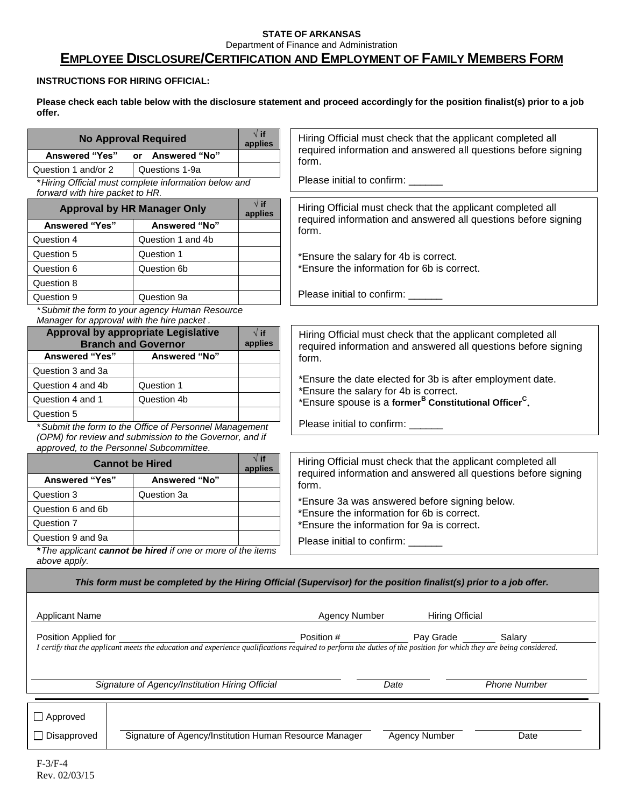### **STATE OF ARKANSAS** Department of Finance and Administration

# **EMPLOYEE DISCLOSURE/CERTIFICATION AND EMPLOYMENT OF FAMILY MEMBERS FORM**

## **INSTRUCTIONS FOR HIRING OFFICIAL:**

**Please check each table below with the disclosure statement and proceed accordingly for the position finalist(s) prior to a job offer.**

|                                                                                                                              | <b>No Approval Required</b>                                              | $\sqrt{ }$ if<br>applies | Hiring Official must check that the applicant completed all                                                                                                                                             |  |  |
|------------------------------------------------------------------------------------------------------------------------------|--------------------------------------------------------------------------|--------------------------|---------------------------------------------------------------------------------------------------------------------------------------------------------------------------------------------------------|--|--|
| <b>Answered "Yes"</b><br>or Answered "No"                                                                                    |                                                                          |                          | required information and answered all questions before signing<br>form.                                                                                                                                 |  |  |
| Question 1 and/or 2                                                                                                          | Questions 1-9a                                                           |                          |                                                                                                                                                                                                         |  |  |
| Please initial to confirm: ______<br>*Hiring Official must complete information below and<br>forward with hire packet to HR. |                                                                          |                          |                                                                                                                                                                                                         |  |  |
|                                                                                                                              | <b>Approval by HR Manager Only</b>                                       | $\sqrt{ }$ if<br>applies | Hiring Official must check that the applicant completed all                                                                                                                                             |  |  |
| <b>Answered "Yes"</b>                                                                                                        | Answered "No"                                                            |                          | required information and answered all questions before signing<br>form.                                                                                                                                 |  |  |
| Question 4                                                                                                                   | Question 1 and 4b                                                        |                          |                                                                                                                                                                                                         |  |  |
| Question 5                                                                                                                   | Question 1                                                               |                          | *Ensure the salary for 4b is correct.                                                                                                                                                                   |  |  |
| Question 6                                                                                                                   | Question 6b                                                              |                          | *Ensure the information for 6b is correct.                                                                                                                                                              |  |  |
| Question 8                                                                                                                   |                                                                          |                          |                                                                                                                                                                                                         |  |  |
| Question 9                                                                                                                   | Question 9a                                                              |                          | Please initial to confirm: ______                                                                                                                                                                       |  |  |
|                                                                                                                              | *Submit the form to your agency Human Resource                           |                          |                                                                                                                                                                                                         |  |  |
|                                                                                                                              | Manager for approval with the hire packet.                               |                          |                                                                                                                                                                                                         |  |  |
|                                                                                                                              | <b>Approval by appropriate Legislative</b><br><b>Branch and Governor</b> | $\sqrt{ }$ if<br>applies | Hiring Official must check that the applicant completed all                                                                                                                                             |  |  |
| <b>Answered "Yes"</b>                                                                                                        | Answered "No"                                                            |                          | required information and answered all questions before signing<br>form.                                                                                                                                 |  |  |
| Question 3 and 3a                                                                                                            |                                                                          |                          |                                                                                                                                                                                                         |  |  |
| Question 4 and 4b                                                                                                            | Question 1                                                               |                          | *Ensure the date elected for 3b is after employment date.                                                                                                                                               |  |  |
| Question 4 and 1                                                                                                             | Question 4b                                                              |                          | *Ensure the salary for 4b is correct.<br>*Ensure spouse is a former <sup>B</sup> Constitutional Officer <sup>C</sup> .                                                                                  |  |  |
| Question 5                                                                                                                   |                                                                          |                          |                                                                                                                                                                                                         |  |  |
|                                                                                                                              | *Submit the form to the Office of Personnel Management                   |                          | Please initial to confirm: ______                                                                                                                                                                       |  |  |
|                                                                                                                              | (OPM) for review and submission to the Governor, and if                  |                          |                                                                                                                                                                                                         |  |  |
|                                                                                                                              | approved, to the Personnel Subcommittee.                                 |                          |                                                                                                                                                                                                         |  |  |
|                                                                                                                              | <b>Cannot be Hired</b>                                                   | $\sqrt{ }$ if<br>applies | Hiring Official must check that the applicant completed all<br>required information and answered all questions before signing                                                                           |  |  |
| <b>Answered "Yes"</b>                                                                                                        | Answered "No"                                                            |                          | form.                                                                                                                                                                                                   |  |  |
| Question 3                                                                                                                   | Question 3a                                                              |                          | *Ensure 3a was answered before signing below.                                                                                                                                                           |  |  |
| Question 6 and 6b                                                                                                            |                                                                          |                          | *Ensure the information for 6b is correct.                                                                                                                                                              |  |  |
| Question 7                                                                                                                   |                                                                          |                          | *Ensure the information for 9a is correct.                                                                                                                                                              |  |  |
| Question 9 and 9a                                                                                                            |                                                                          |                          | Please initial to confirm: _____                                                                                                                                                                        |  |  |
| *The applicant cannot be hired if one or more of the items                                                                   |                                                                          |                          |                                                                                                                                                                                                         |  |  |
| above apply.                                                                                                                 |                                                                          |                          |                                                                                                                                                                                                         |  |  |
|                                                                                                                              |                                                                          |                          | This form must be completed by the Hiring Official (Supervisor) for the position finalist(s) prior to a job offer.                                                                                      |  |  |
|                                                                                                                              |                                                                          |                          |                                                                                                                                                                                                         |  |  |
| <b>Applicant Name</b>                                                                                                        |                                                                          |                          | <b>Hiring Official</b><br><b>Agency Number</b>                                                                                                                                                          |  |  |
|                                                                                                                              |                                                                          |                          |                                                                                                                                                                                                         |  |  |
| Position Applied for                                                                                                         |                                                                          |                          | Position #<br>Pay Grade<br>Salary<br>I certify that the applicant meets the education and experience qualifications required to perform the duties of the position for which they are being considered. |  |  |
|                                                                                                                              |                                                                          |                          |                                                                                                                                                                                                         |  |  |
|                                                                                                                              |                                                                          |                          |                                                                                                                                                                                                         |  |  |
|                                                                                                                              | Signature of Agency/Institution Hiring Official                          |                          | <b>Phone Number</b><br>Date                                                                                                                                                                             |  |  |
|                                                                                                                              |                                                                          |                          |                                                                                                                                                                                                         |  |  |
| $\Box$ Approved                                                                                                              |                                                                          |                          |                                                                                                                                                                                                         |  |  |
| Signature of Agency/Institution Human Resource Manager                                                                       |                                                                          |                          |                                                                                                                                                                                                         |  |  |
| $\Box$ Disapproved                                                                                                           |                                                                          |                          | Agency Number<br>Date                                                                                                                                                                                   |  |  |
|                                                                                                                              |                                                                          |                          |                                                                                                                                                                                                         |  |  |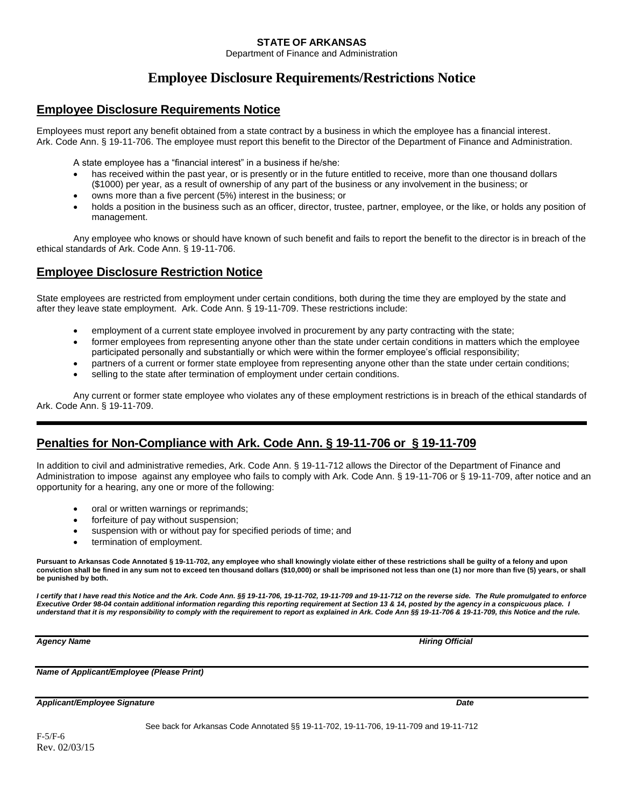### **STATE OF ARKANSAS**

Department of Finance and Administration

# **Employee Disclosure Requirements/Restrictions Notice**

## **Employee Disclosure Requirements Notice**

Employees must report any benefit obtained from a state contract by a business in which the employee has a financial interest. Ark. Code Ann. § 19-11-706. The employee must report this benefit to the Director of the Department of Finance and Administration.

A state employee has a "financial interest" in a business if he/she:

- has received within the past year, or is presently or in the future entitled to receive, more than one thousand dollars (\$1000) per year, as a result of ownership of any part of the business or any involvement in the business; or
- owns more than a five percent (5%) interest in the business; or
- holds a position in the business such as an officer, director, trustee, partner, employee, or the like, or holds any position of management.

Any employee who knows or should have known of such benefit and fails to report the benefit to the director is in breach of the ethical standards of Ark. Code Ann. § 19-11-706.

## **Employee Disclosure Restriction Notice**

State employees are restricted from employment under certain conditions, both during the time they are employed by the state and after they leave state employment. Ark. Code Ann. § 19-11-709. These restrictions include:

- employment of a current state employee involved in procurement by any party contracting with the state;
- former employees from representing anyone other than the state under certain conditions in matters which the employee participated personally and substantially or which were within the former employee's official responsibility;
- partners of a current or former state employee from representing anyone other than the state under certain conditions;
- selling to the state after termination of employment under certain conditions.

Any current or former state employee who violates any of these employment restrictions is in breach of the ethical standards of Ark. Code Ann. § 19-11-709.

## **Penalties for Non-Compliance with Ark. Code Ann. § 19-11-706 or § 19-11-709**

In addition to civil and administrative remedies, Ark. Code Ann. § 19-11-712 allows the Director of the Department of Finance and Administration to impose against any employee who fails to comply with Ark. Code Ann. § 19-11-706 or § 19-11-709, after notice and an opportunity for a hearing, any one or more of the following:

- oral or written warnings or reprimands;
- forfeiture of pay without suspension;
- suspension with or without pay for specified periods of time; and
- termination of employment.

**Pursuant to Arkansas Code Annotated § 19-11-702, any employee who shall knowingly violate either of these restrictions shall be guilty of a felony and upon conviction shall be fined in any sum not to exceed ten thousand dollars (\$10,000) or shall be imprisoned not less than one (1) nor more than five (5) years, or shall be punished by both.**

*I certify that I have read this Notice and the Ark. Code Ann. §§ 19-11-706, 19-11-702, 19-11-709 and 19-11-712 on the reverse side. The Rule promulgated to enforce Executive Order 98-04 contain additional information regarding this reporting requirement at Section 13 & 14, posted by the agency in a conspicuous place. I understand that it is my responsibility to comply with the requirement to report as explained in Ark. Code Ann §§ 19-11-706 & 19-11-709, this Notice and the rule.*

**Agency Name Hiring Official Agency Name Hiring Official** *Agency Name* **Hiring Official <b>Agency Name** 

*Name of Applicant/Employee (Please Print)*

*Applicant/Employee Signature Date* 

F-5/F-6 Rev. 02/03/15 See back for Arkansas Code Annotated §§ 19-11-702, 19-11-706, 19-11-709 and 19-11-712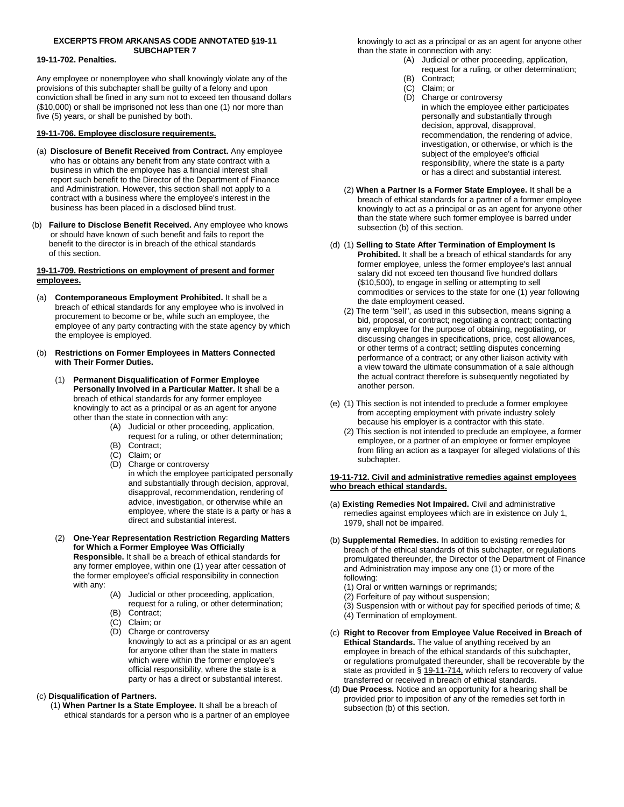#### **EXCERPTS FROM ARKANSAS CODE ANNOTATED §19-11 SUBCHAPTER 7**

#### **19-11-702. Penalties.**

Any employee or nonemployee who shall knowingly violate any of the provisions of this subchapter shall be guilty of a felony and upon conviction shall be fined in any sum not to exceed ten thousand dollars (\$10,000) or shall be imprisoned not less than one (1) nor more than five (5) years, or shall be punished by both.

#### **[19-11-706. Employee disclosure requirements.](file://is-userdata-01/newsdcode/lpext.dll%3ff=FifLink&t=document-frame.htm&l=query&iid=594395f7.6acb40aa.0.0&q=%5bGroup%20)**

- (a) **Disclosure of Benefit Received from Contract.** Any employee who has or obtains any benefit from any state contract with a business in which the employee has a financial interest shall report such benefit to the Director of the Department of Finance and Administration. However, this section shall not apply to a contract with a business where the employee's interest in the business has been placed in a disclosed blind trust.
- (b) **Failure to Disclose Benefit Received.** Any employee who knows or should have known of such benefit and fails to report the benefit to the director is in breach of the ethical standards of this section.

#### **[19-11-709. Restrictions on employment of present and former](file://is-userdata-01/newsdcode/lpext.dll%3ff=FifLink&t=document-frame.htm&l=query&iid=594395f7.6acb40aa.0.0&q=%5bGroup%20)  [employees.](file://is-userdata-01/newsdcode/lpext.dll%3ff=FifLink&t=document-frame.htm&l=query&iid=594395f7.6acb40aa.0.0&q=%5bGroup%20)**

- (a) **Contemporaneous Employment Prohibited.** It shall be a breach of ethical standards for any employee who is involved in procurement to become or be, while such an employee, the employee of any party contracting with the state agency by which the employee is employed.
- (b) **Restrictions on Former Employees in Matters Connected with Their Former Duties.**
	- (1) **Permanent Disqualification of Former Employee Personally Involved in a Particular Matter.** It shall be a breach of ethical standards for any former employee knowingly to act as a principal or as an agent for anyone other than the state in connection with any:
		- (A) Judicial or other proceeding, application, request for a ruling, or other determination;
		- (B) Contract;
		- (C) Claim; or
		- (D) Charge or controversy in which the employee participated personally and substantially through decision, approval, disapproval, recommendation, rendering of advice, investigation, or otherwise while an employee, where the state is a party or has a direct and substantial interest.
	- (2) **One-Year Representation Restriction Regarding Matters for Which a Former Employee Was Officially Responsible.** It shall be a breach of ethical standards for any former employee, within one (1) year after cessation of the former employee's official responsibility in connection with any:
		- (A) Judicial or other proceeding, application, request for a ruling, or other determination;
		- (B) Contract;
		- (C) Claim; or (D) Charge or controversy knowingly to act as a principal or as an agent for anyone other than the state in matters which were within the former employee's official responsibility, where the state is a party or has a direct or substantial interest.

#### (c) **Disqualification of Partners.**

(1) **When Partner Is a State Employee.** It shall be a breach of ethical standards for a person who is a partner of an employee knowingly to act as a principal or as an agent for anyone other than the state in connection with any:

- (A) Judicial or other proceeding, application, request for a ruling, or other determination; (B) Contract;
- (C) Claim; or
- (D) Charge or controversy
- in which the employee either participates personally and substantially through decision, approval, disapproval, recommendation, the rendering of advice, investigation, or otherwise, or which is the subject of the employee's official responsibility, where the state is a party or has a direct and substantial interest.
- (2) **When a Partner Is a Former State Employee.** It shall be a breach of ethical standards for a partner of a former employee knowingly to act as a principal or as an agent for anyone other than the state where such former employee is barred under subsection (b) of this section.
- (d) (1) **Selling to State After Termination of Employment Is Prohibited.** It shall be a breach of ethical standards for any former employee, unless the former employee's last annual salary did not exceed ten thousand five hundred dollars (\$10,500), to engage in selling or attempting to sell commodities or services to the state for one (1) year following the date employment ceased.
	- (2) The term "sell", as used in this subsection, means signing a bid, proposal, or contract; negotiating a contract; contacting any employee for the purpose of obtaining, negotiating, or discussing changes in specifications, price, cost allowances, or other terms of a contract; settling disputes concerning performance of a contract; or any other liaison activity with a view toward the ultimate consummation of a sale although the actual contract therefore is subsequently negotiated by another person.
- (e) (1) This section is not intended to preclude a former employee from accepting employment with private industry solely because his employer is a contractor with this state.
	- (2) This section is not intended to preclude an employee, a former employee, or a partner of an employee or former employee from filing an action as a taxpayer for alleged violations of this subchapter.

#### **[19-11-712. Civil and administrative remedies against employees](file://is-userdata-01/newsdcode/lpext.dll%3ff=FifLink&t=document-frame.htm&l=query&iid=594395f7.6acb40aa.0.0&q=%5bGroup%20)  [who breach ethical standards.](file://is-userdata-01/newsdcode/lpext.dll%3ff=FifLink&t=document-frame.htm&l=query&iid=594395f7.6acb40aa.0.0&q=%5bGroup%20)**

- (a) **Existing Remedies Not Impaired.** Civil and administrative remedies against employees which are in existence on July 1, 1979, shall not be impaired.
- (b) **Supplemental Remedies.** In addition to existing remedies for breach of the ethical standards of this subchapter, or regulations promulgated thereunder, the Director of the Department of Finance and Administration may impose any one (1) or more of the following:
	- (1) Oral or written warnings or reprimands;
	- (2) Forfeiture of pay without suspension;
	- (3) Suspension with or without pay for specified periods of time; &
	- (4) Termination of employment.
- (c) **Right to Recover from Employee Value Received in Breach of Ethical Standards.** The value of anything received by an employee in breach of the ethical standards of this subchapter, or regulations promulgated thereunder, shall be recoverable by the state as provided in § [19-11-714,](file://is-userdata-01/newsdcode/lpext.dll%3ff=FifLink&t=document-frame.htm&l=jump&iid=594395f7.6acb40aa.0.0&nid=18253%23JD_19-11-714) which refers to recovery of value transferred or received in breach of ethical standards.
- (d) **Due Process.** Notice and an opportunity for a hearing shall be provided prior to imposition of any of the remedies set forth in subsection (b) of this section.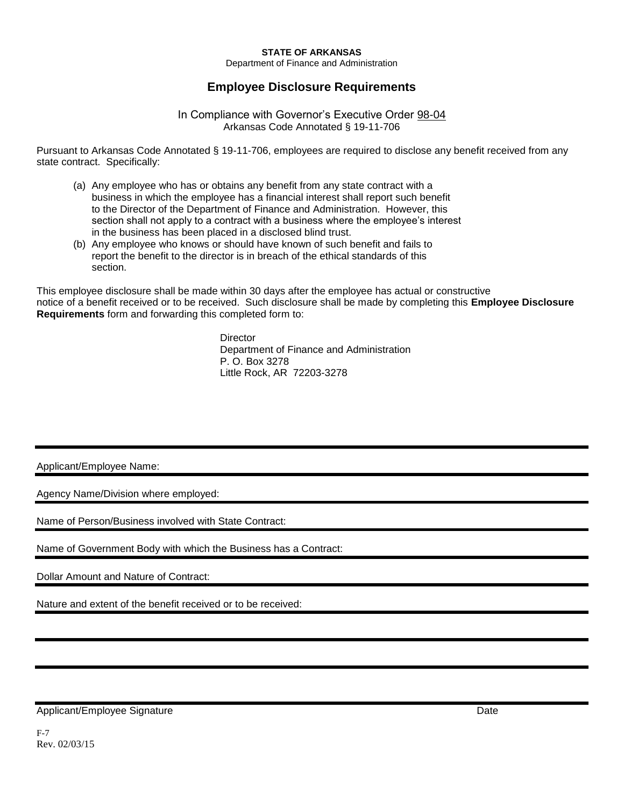### **STATE OF ARKANSAS**

Department of Finance and Administration

## **Employee Disclosure Requirements**

### In Compliance with Governor's Executive Order 98-04 Arkansas Code Annotated § 19-11-706

Pursuant to Arkansas Code Annotated § 19-11-706, employees are required to disclose any benefit received from any state contract. Specifically:

- (a) Any employee who has or obtains any benefit from any state contract with a business in which the employee has a financial interest shall report such benefit to the Director of the Department of Finance and Administration. However, this section shall not apply to a contract with a business where the employee's interest in the business has been placed in a disclosed blind trust.
- (b) Any employee who knows or should have known of such benefit and fails to report the benefit to the director is in breach of the ethical standards of this section.

This employee disclosure shall be made within 30 days after the employee has actual or constructive notice of a benefit received or to be received. Such disclosure shall be made by completing this **Employee Disclosure Requirements** form and forwarding this completed form to:

> **Director** Department of Finance and Administration P. O. Box 3278 Little Rock, AR 72203-3278

Applicant/Employee Name:

Agency Name/Division where employed:

Name of Person/Business involved with State Contract:

Name of Government Body with which the Business has a Contract:

Dollar Amount and Nature of Contract:

Nature and extent of the benefit received or to be received:

Applicant/Employee Signature **Date** Date of the Second Science of the Date Date of the Date of the Date of the Date of the Date of the Date of the Date of the Date of the Date of the Date of the Date of the Date of the Dat

F-7 Rev. 02/03/15